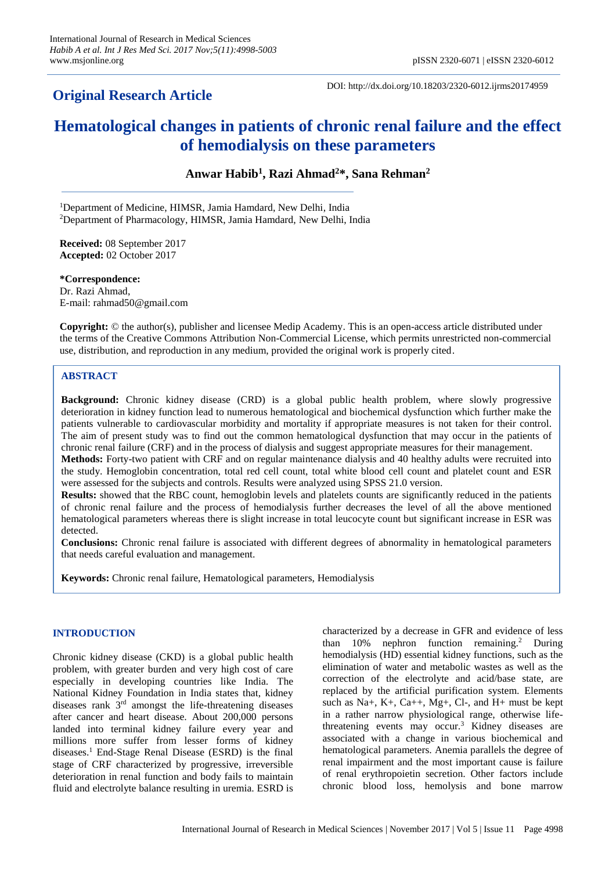## **Original Research Article**

DOI: http://dx.doi.org/10.18203/2320-6012.ijrms20174959

# **Hematological changes in patients of chronic renal failure and the effect of hemodialysis on these parameters**

**Anwar Habib<sup>1</sup> , Razi Ahmad<sup>2</sup>\*, Sana Rehman<sup>2</sup>**

<sup>1</sup>Department of Medicine, HIMSR, Jamia Hamdard, New Delhi, India <sup>2</sup>Department of Pharmacology, HIMSR, Jamia Hamdard, New Delhi, India

**Received:** 08 September 2017 **Accepted:** 02 October 2017

**\*Correspondence:** Dr. Razi Ahmad, E-mail: rahmad50@gmail.com

**Copyright:** © the author(s), publisher and licensee Medip Academy. This is an open-access article distributed under the terms of the Creative Commons Attribution Non-Commercial License, which permits unrestricted non-commercial use, distribution, and reproduction in any medium, provided the original work is properly cited.

## **ABSTRACT**

**Background:** Chronic kidney disease (CRD) is a global public health problem, where slowly progressive deterioration in kidney function lead to numerous hematological and biochemical dysfunction which further make the patients vulnerable to cardiovascular morbidity and mortality if appropriate measures is not taken for their control. The aim of present study was to find out the common hematological dysfunction that may occur in the patients of chronic renal failure (CRF) and in the process of dialysis and suggest appropriate measures for their management.

**Methods:** Forty-two patient with CRF and on regular maintenance dialysis and 40 healthy adults were recruited into the study. Hemoglobin concentration, total red cell count, total white blood cell count and platelet count and ESR were assessed for the subjects and controls. Results were analyzed using SPSS 21.0 version.

**Results:** showed that the RBC count, hemoglobin levels and platelets counts are significantly reduced in the patients of chronic renal failure and the process of hemodialysis further decreases the level of all the above mentioned hematological parameters whereas there is slight increase in total leucocyte count but significant increase in ESR was detected.

**Conclusions:** Chronic renal failure is associated with different degrees of abnormality in hematological parameters that needs careful evaluation and management.

**Keywords:** Chronic renal failure, Hematological parameters, Hemodialysis

## **INTRODUCTION**

Chronic kidney disease (CKD) is a global public health problem, with greater burden and very high cost of care especially in developing countries like India. The National Kidney Foundation in India states that, kidney diseases rank 3<sup>rd</sup> amongst the life-threatening diseases after cancer and heart disease. About 200,000 persons landed into terminal kidney failure every year and millions more suffer from lesser forms of kidney diseases.<sup>1</sup> End-Stage Renal Disease (ESRD) is the final stage of CRF characterized by progressive, irreversible deterioration in renal function and body fails to maintain fluid and electrolyte balance resulting in uremia. ESRD is characterized by a decrease in GFR and evidence of less than  $10\%$  nephron function remaining.<sup>2</sup> During hemodialysis (HD) essential kidney functions, such as the elimination of water and metabolic wastes as well as the correction of the electrolyte and acid/base state, are replaced by the artificial purification system. Elements such as Na+, K+, Ca++, Mg+, Cl-, and H+ must be kept in a rather narrow physiological range, otherwise lifethreatening events may occur.<sup>3</sup> Kidney diseases are associated with a change in various biochemical and hematological parameters. Anemia parallels the degree of renal impairment and the most important cause is failure of renal erythropoietin secretion. Other factors include chronic blood loss, hemolysis and bone marrow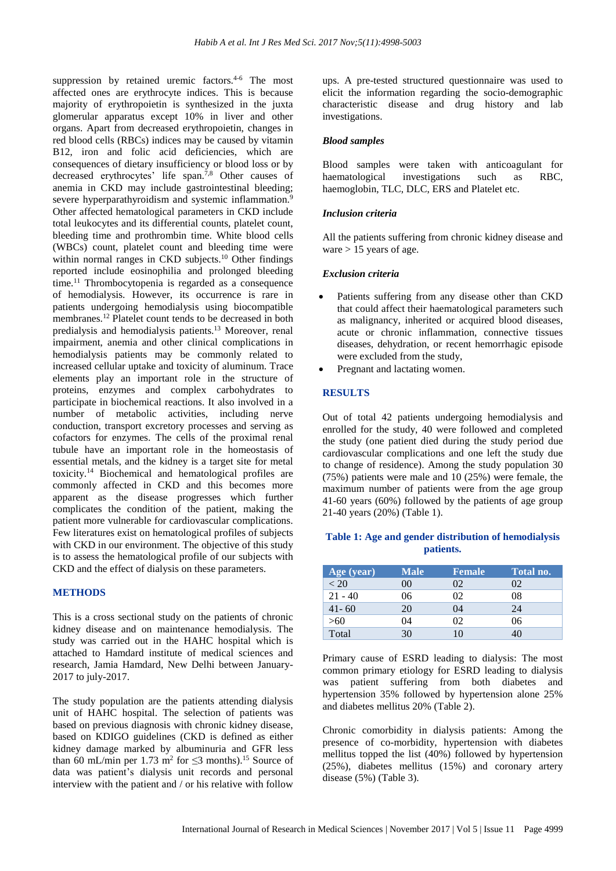suppression by retained uremic factors.<sup>4-6</sup> The most affected ones are erythrocyte indices. This is because majority of erythropoietin is synthesized in the juxta glomerular apparatus except 10% in liver and other organs. Apart from decreased erythropoietin, changes in red blood cells (RBCs) indices may be caused by vitamin B12, iron and folic acid deficiencies, which are consequences of dietary insufficiency or blood loss or by decreased erythrocytes' life span.7,8 Other causes of anemia in CKD may include gastrointestinal bleeding; severe hyperparathyroidism and systemic inflammation.<sup>9</sup> Other affected hematological parameters in CKD include total leukocytes and its differential counts, platelet count, bleeding time and prothrombin time. White blood cells (WBCs) count, platelet count and bleeding time were within normal ranges in CKD subjects.<sup>10</sup> Other findings reported include eosinophilia and prolonged bleeding time.<sup>11</sup> Thrombocytopenia is regarded as a consequence of hemodialysis. However, its occurrence is rare in patients undergoing hemodialysis using biocompatible membranes.<sup>12</sup> Platelet count tends to be decreased in both predialysis and hemodialysis patients.<sup>13</sup> Moreover, renal impairment, anemia and other clinical complications in hemodialysis patients may be commonly related to increased cellular uptake and toxicity of aluminum. Trace elements play an important role in the structure of proteins, enzymes and complex carbohydrates to participate in biochemical reactions. It also involved in a number of metabolic activities, including nerve conduction, transport excretory processes and serving as cofactors for enzymes. The cells of the proximal renal tubule have an important role in the homeostasis of essential metals, and the kidney is a target site for metal toxicity.<sup>14</sup> Biochemical and hematological profiles are commonly affected in CKD and this becomes more apparent as the disease progresses which further complicates the condition of the patient, making the patient more vulnerable for cardiovascular complications. Few literatures exist on hematological profiles of subjects with CKD in our environment. The objective of this study is to assess the hematological profile of our subjects with CKD and the effect of dialysis on these parameters.

#### **METHODS**

This is a cross sectional study on the patients of chronic kidney disease and on maintenance hemodialysis. The study was carried out in the HAHC hospital which is attached to Hamdard institute of medical sciences and research, Jamia Hamdard, New Delhi between January-2017 to july-2017.

The study population are the patients attending dialysis unit of HAHC hospital. The selection of patients was based on previous diagnosis with chronic kidney disease, based on KDIGO guidelines (CKD is defined as either kidney damage marked by albuminuria and GFR less than 60 mL/min per 1.73 m<sup>2</sup> for  $\leq$ 3 months).<sup>15</sup> Source of data was patient's dialysis unit records and personal interview with the patient and / or his relative with follow

ups. A pre-tested structured questionnaire was used to elicit the information regarding the socio-demographic characteristic disease and drug history and lab investigations.

#### *Blood samples*

Blood samples were taken with anticoagulant for haematological investigations such as RBC, haemoglobin, TLC, DLC, ERS and Platelet etc.

#### *Inclusion criteria*

All the patients suffering from chronic kidney disease and ware  $> 15$  years of age.

#### *Exclusion criteria*

- Patients suffering from any disease other than CKD that could affect their haematological parameters such as malignancy, inherited or acquired blood diseases, acute or chronic inflammation, connective tissues diseases, dehydration, or recent hemorrhagic episode were excluded from the study,
- Pregnant and lactating women.

## **RESULTS**

Out of total 42 patients undergoing hemodialysis and enrolled for the study, 40 were followed and completed the study (one patient died during the study period due cardiovascular complications and one left the study due to change of residence). Among the study population 30 (75%) patients were male and 10 (25%) were female, the maximum number of patients were from the age group 41-60 years (60%) followed by the patients of age group 21-40 years (20%) (Table 1).

## **Table 1: Age and gender distribution of hemodialysis patients.**

| Age (year) | <b>Male</b> | <b>Female</b> | Total no. |
|------------|-------------|---------------|-----------|
| < 20       | $($ i $()$  | 02            | 02.       |
| $21 - 40$  | 06          | 02            | 08        |
| $41 - 60$  | 20          | 04            | 24        |
| >60        | 04          | ΩŽ            | 06        |
| Total      | 30          |               |           |

Primary cause of ESRD leading to dialysis: The most common primary etiology for ESRD leading to dialysis was patient suffering from both diabetes and hypertension 35% followed by hypertension alone 25% and diabetes mellitus 20% (Table 2).

Chronic comorbidity in dialysis patients: Among the presence of co-morbidity, hypertension with diabetes mellitus topped the list (40%) followed by hypertension (25%), diabetes mellitus (15%) and coronary artery disease (5%) (Table 3).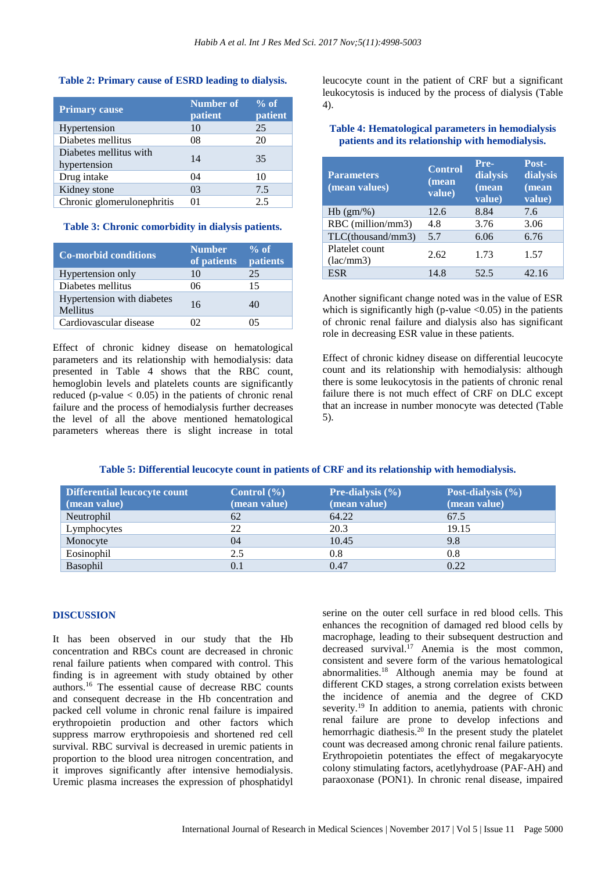#### **Table 2: Primary cause of ESRD leading to dialysis.**

| <b>Primary cause</b>                   | <b>Number of</b><br>patient | $%$ of<br>patient |
|----------------------------------------|-----------------------------|-------------------|
| Hypertension                           | 10                          | 25                |
| Diabetes mellitus                      | 08                          | 20                |
| Diabetes mellitus with<br>hypertension | 14                          | 35                |
| Drug intake                            | 04                          | 10                |
| Kidney stone                           | 03                          | 7.5               |
| Chronic glomerulonephritis             | 01                          | 2.5               |

#### **Table 3: Chronic comorbidity in dialysis patients.**

| <b>Co-morbid conditions</b>            | <b>Number</b><br>of patients | $%$ of<br>patients |
|----------------------------------------|------------------------------|--------------------|
| Hypertension only                      | 10                           | 25                 |
| Diabetes mellitus                      | 06                           | 15                 |
| Hypertension with diabetes<br>Mellitus | 16                           | 40                 |
| Cardiovascular disease                 | 12                           |                    |

Effect of chronic kidney disease on hematological parameters and its relationship with hemodialysis: data presented in Table 4 shows that the RBC count, hemoglobin levels and platelets counts are significantly reduced (p-value  $< 0.05$ ) in the patients of chronic renal failure and the process of hemodialysis further decreases the level of all the above mentioned hematological parameters whereas there is slight increase in total leucocyte count in the patient of CRF but a significant leukocytosis is induced by the process of dialysis (Table 4).

## **Table 4: Hematological parameters in hemodialysis patients and its relationship with hemodialysis.**

| <b>Parameters</b><br>(mean values) | <b>Control</b><br>(mean<br>value) | Pre-<br>dialysis<br>(mean<br>value) | Post-<br>dialysis<br>(mean<br>value) |
|------------------------------------|-----------------------------------|-------------------------------------|--------------------------------------|
| $Hb$ (gm/%)                        | 12.6                              | 8.84                                | 7.6                                  |
| RBC (million/mm3)                  | 4.8                               | 3.76                                | 3.06                                 |
| $TLC$ (thousand/mm3)               | 5.7                               | 6.06                                | 6.76                                 |
| Platelet count<br>(lac/mm3)        | 2.62                              | 1.73                                | 1.57                                 |
| <b>ESR</b>                         | 14.8                              | 52.5                                | 42.16                                |

Another significant change noted was in the value of ESR which is significantly high (p-value  $\langle 0.05 \rangle$ ) in the patients of chronic renal failure and dialysis also has significant role in decreasing ESR value in these patients.

Effect of chronic kidney disease on differential leucocyte count and its relationship with hemodialysis: although there is some leukocytosis in the patients of chronic renal failure there is not much effect of CRF on DLC except that an increase in number monocyte was detected (Table 5).

## **Table 5: Differential leucocyte count in patients of CRF and its relationship with hemodialysis.**

| Differential leucocyte count<br>(mean value) | Control $(\% )$<br>(mean value) | <b>Pre-dialysis</b> $(\% )$<br>(mean value) | Post-dialysis $(\% )$<br>(mean value) |
|----------------------------------------------|---------------------------------|---------------------------------------------|---------------------------------------|
| Neutrophil                                   | 62                              | 64.22                                       | 67.5                                  |
| Lymphocytes                                  | 22                              | 20.3                                        | 19.15                                 |
| Monocyte                                     | 04                              | 10.45                                       | 9.8                                   |
| Eosinophil                                   | 2.5                             | 0.8                                         | 0.8                                   |
| <b>Basophil</b>                              | 0.1                             | 0.47                                        | 0.22                                  |

#### **DISCUSSION**

It has been observed in our study that the Hb concentration and RBCs count are decreased in chronic renal failure patients when compared with control. This finding is in agreement with study obtained by other authors.<sup>16</sup> The essential cause of decrease RBC counts and consequent decrease in the Hb concentration and packed cell volume in chronic renal failure is impaired erythropoietin production and other factors which suppress marrow erythropoiesis and shortened red cell survival. RBC survival is decreased in uremic patients in proportion to the blood urea nitrogen concentration, and it improves significantly after intensive hemodialysis. Uremic plasma increases the expression of phosphatidyl serine on the outer cell surface in red blood cells. This enhances the recognition of damaged red blood cells by macrophage, leading to their subsequent destruction and decreased survival.<sup>17</sup> Anemia is the most common, consistent and severe form of the various hematological abnormalities. <sup>18</sup> Although anemia may be found at different CKD stages, a strong correlation exists between the incidence of anemia and the degree of CKD severity.<sup>19</sup> In addition to anemia, patients with chronic renal failure are prone to develop infections and hemorrhagic diathesis.<sup>20</sup> In the present study the platelet count was decreased among chronic renal failure patients. Erythropoietin potentiates the effect of megakaryocyte colony stimulating factors, acetlyhydroase (PAF-AH) and paraoxonase (PON1). In chronic renal disease, impaired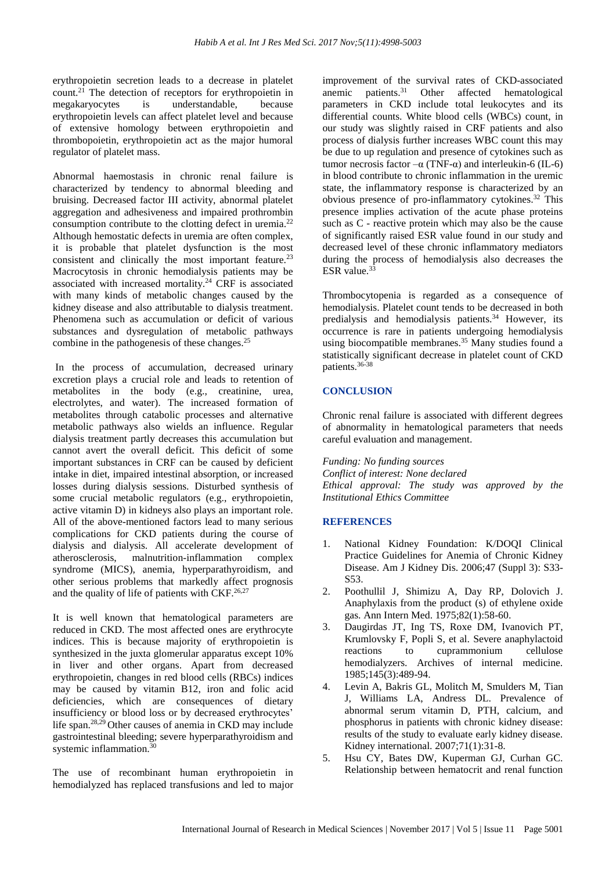erythropoietin secretion leads to a decrease in platelet count.<sup>21</sup> The detection of receptors for erythropoietin in megakaryocytes is understandable, because erythropoietin levels can affect platelet level and because of extensive homology between erythropoietin and thrombopoietin, erythropoietin act as the major humoral regulator of platelet mass.

Abnormal haemostasis in chronic renal failure is characterized by tendency to abnormal bleeding and bruising. Decreased factor III activity, abnormal platelet aggregation and adhesiveness and impaired prothrombin consumption contribute to the clotting defect in uremia.<sup>22</sup> Although hemostatic defects in uremia are often complex, it is probable that platelet dysfunction is the most consistent and clinically the most important feature.<sup>23</sup> Macrocytosis in chronic hemodialysis patients may be associated with increased mortality.<sup>24</sup> CRF is associated with many kinds of metabolic changes caused by the kidney disease and also attributable to dialysis treatment. Phenomena such as accumulation or deficit of various substances and dysregulation of metabolic pathways combine in the pathogenesis of these changes.<sup>25</sup>

In the process of accumulation, decreased urinary excretion plays a crucial role and leads to retention of metabolites in the body (e.g., creatinine, urea, electrolytes, and water). The increased formation of metabolites through catabolic processes and alternative metabolic pathways also wields an influence. Regular dialysis treatment partly decreases this accumulation but cannot avert the overall deficit. This deficit of some important substances in CRF can be caused by deficient intake in diet, impaired intestinal absorption, or increased losses during dialysis sessions. Disturbed synthesis of some crucial metabolic regulators (e.g., erythropoietin, active vitamin D) in kidneys also plays an important role. All of the above-mentioned factors lead to many serious complications for CKD patients during the course of dialysis and dialysis. All accelerate development of atherosclerosis, malnutrition-inflammation complex syndrome (MICS), anemia, hyperparathyroidism, and other serious problems that markedly affect prognosis and the quality of life of patients with CKF.<sup>26,27</sup>

It is well known that hematological parameters are reduced in CKD. The most affected ones are erythrocyte indices. This is because majority of erythropoietin is synthesized in the juxta glomerular apparatus except 10% in liver and other organs. Apart from decreased erythropoietin, changes in red blood cells (RBCs) indices may be caused by vitamin B12, iron and folic acid deficiencies, which are consequences of dietary insufficiency or blood loss or by decreased erythrocytes' life span.28,29 Other causes of anemia in CKD may include gastrointestinal bleeding; severe hyperparathyroidism and systemic inflammation.<sup>30</sup>

The use of recombinant human erythropoietin in hemodialyzed has replaced transfusions and led to major improvement of the survival rates of CKD-associated anemic patients.<sup>31</sup> Other affected hematological parameters in CKD include total leukocytes and its differential counts. White blood cells (WBCs) count, in our study was slightly raised in CRF patients and also process of dialysis further increases WBC count this may be due to up regulation and presence of cytokines such as tumor necrosis factor  $-\alpha$  (TNF-α) and interleukin-6 (IL-6) in blood contribute to chronic inflammation in the uremic state, the inflammatory response is characterized by an obvious presence of pro-inflammatory cytokines.<sup>32</sup> This presence implies activation of the acute phase proteins such as C - reactive protein which may also be the cause of significantly raised ESR value found in our study and decreased level of these chronic inflammatory mediators during the process of hemodialysis also decreases the ESR value.<sup>33</sup>

Thrombocytopenia is regarded as a consequence of hemodialysis. Platelet count tends to be decreased in both predialysis and hemodialysis patients.<sup>34</sup> However, its occurrence is rare in patients undergoing hemodialysis using biocompatible membranes.<sup>35</sup> Many studies found a statistically significant decrease in platelet count of CKD patients.36-38

## **CONCLUSION**

Chronic renal failure is associated with different degrees of abnormality in hematological parameters that needs careful evaluation and management.

*Funding: No funding sources Conflict of interest: None declared Ethical approval: The study was approved by the Institutional Ethics Committee*

#### **REFERENCES**

- 1. National Kidney Foundation: K/DOQI Clinical Practice Guidelines for Anemia of Chronic Kidney Disease. Am J Kidney Dis. 2006;47 (Suppl 3): S33- S53.
- 2. Poothullil J, Shimizu A, Day RP, Dolovich J. Anaphylaxis from the product (s) of ethylene oxide gas. Ann Intern Med. 1975;82(1):58-60.
- 3. Daugirdas JT, Ing TS, Roxe DM, Ivanovich PT, Krumlovsky F, Popli S, et al. Severe anaphylactoid reactions to cuprammonium cellulose hemodialyzers. Archives of internal medicine. 1985;145(3):489-94.
- 4. Levin A, Bakris GL, Molitch M, Smulders M, Tian J, Williams LA, Andress DL. Prevalence of abnormal serum vitamin D, PTH, calcium, and phosphorus in patients with chronic kidney disease: results of the study to evaluate early kidney disease. Kidney international. 2007;71(1):31-8.
- 5. Hsu CY, Bates DW, Kuperman GJ, Curhan GC. Relationship between hematocrit and renal function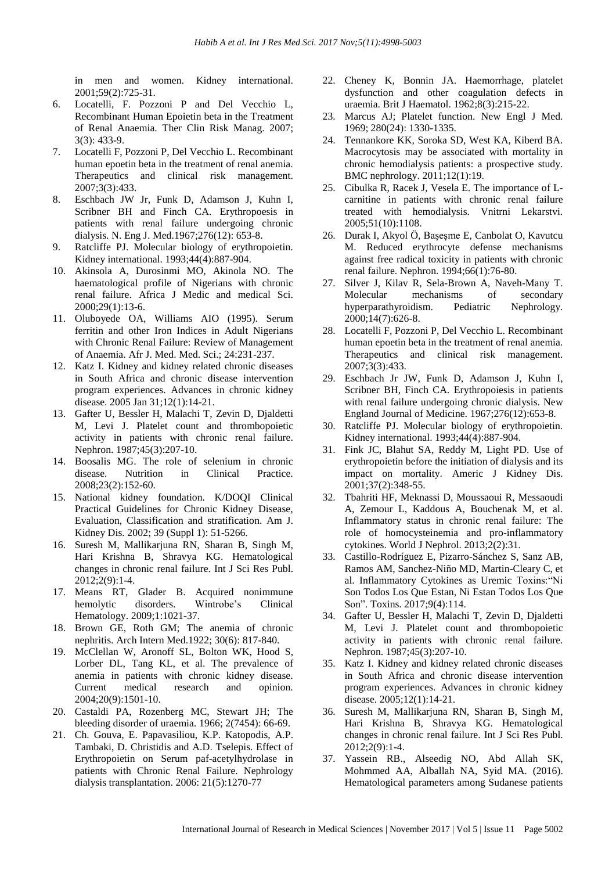in men and women. Kidney international. 2001;59(2):725-31.

- 6. Locatelli, F. Pozzoni P and Del Vecchio L, Recombinant Human Epoietin beta in the Treatment of Renal Anaemia. Ther Clin Risk Manag. 2007; 3(3): 433-9.
- 7. Locatelli F, Pozzoni P, Del Vecchio L. Recombinant human epoetin beta in the treatment of renal anemia. Therapeutics and clinical risk management. 2007;3(3):433.
- 8. Eschbach JW Jr, Funk D, Adamson J, Kuhn I, Scribner BH and Finch CA. Erythropoesis in patients with renal failure undergoing chronic dialysis. N. Eng J. Med.1967;276(12): 653-8.
- 9. Ratcliffe PJ. Molecular biology of erythropoietin. Kidney international. 1993;44(4):887-904.
- 10. Akinsola A, Durosinmi MO, Akinola NO. The haematological profile of Nigerians with chronic renal failure. Africa J Medic and medical Sci. 2000;29(1):13-6.
- 11. Oluboyede OA, Williams AIO (1995). Serum ferritin and other Iron Indices in Adult Nigerians with Chronic Renal Failure: Review of Management of Anaemia. Afr J. Med. Med. Sci.; 24:231-237.
- 12. Katz I. Kidney and kidney related chronic diseases in South Africa and chronic disease intervention program experiences. Advances in chronic kidney disease. 2005 Jan 31;12(1):14-21.
- 13. Gafter U, Bessler H, Malachi T, Zevin D, Djaldetti M, Levi J. Platelet count and thrombopoietic activity in patients with chronic renal failure. Nephron. 1987;45(3):207-10.
- 14. Boosalis MG. The role of selenium in chronic disease. Nutrition in Clinical Practice. 2008;23(2):152-60.
- 15. National kidney foundation. K/DOQI Clinical Practical Guidelines for Chronic Kidney Disease, Evaluation, Classification and stratification. Am J. Kidney Dis. 2002; 39 (Suppl 1): 51-5266.
- 16. Suresh M, Mallikarjuna RN, Sharan B, Singh M, Hari Krishna B, Shravya KG. Hematological changes in chronic renal failure. Int J Sci Res Publ. 2012;2(9):1-4.
- 17. Means RT, Glader B. Acquired nonimmune hemolytic disorders. Wintrobe's Clinical Hematology. 2009;1:1021-37.
- 18. Brown GE, Roth GM; The anemia of chronic nephritis. Arch Intern Med.1922; 30(6): 817-840.
- 19. McClellan W, Aronoff SL, Bolton WK, Hood S, Lorber DL, Tang KL, et al. The prevalence of anemia in patients with chronic kidney disease. Current medical research and opinion. 2004;20(9):1501-10.
- 20. Castaldi PA, Rozenberg MC, Stewart JH; The bleeding disorder of uraemia. 1966; 2(7454): 66-69.
- 21. Ch. Gouva, E. Papavasiliou, K.P. Katopodis, A.P. Tambaki, D. Christidis and A.D. Tselepis. Effect of Erythropoietin on Serum paf-acetylhydrolase in patients with Chronic Renal Failure. Nephrology dialysis transplantation. 2006: 21(5):1270-77
- 22. Cheney K, Bonnin JA. Haemorrhage, platelet dysfunction and other coagulation defects in uraemia. Brit J Haematol. 1962;8(3):215-22.
- 23. Marcus AJ; Platelet function. New Engl J Med. 1969; 280(24): 1330-1335.
- 24. Tennankore KK, Soroka SD, West KA, Kiberd BA. Macrocytosis may be associated with mortality in chronic hemodialysis patients: a prospective study. BMC nephrology. 2011;12(1):19.
- 25. Cibulka R, Racek J, Vesela E. The importance of Lcarnitine in patients with chronic renal failure treated with hemodialysis. Vnitrni Lekarstvi. 2005;51(10):1108.
- 26. Durak I, Akyol Ö, Başeşme E, Canbolat O, Kavutcu M. Reduced erythrocyte defense mechanisms against free radical toxicity in patients with chronic renal failure. Nephron. 1994;66(1):76-80.
- 27. Silver J, Kilav R, Sela-Brown A, Naveh-Many T. Molecular mechanisms of secondary hyperparathyroidism. Pediatric Nephrology. 2000;14(7):626-8.
- 28. Locatelli F, Pozzoni P, Del Vecchio L. Recombinant human epoetin beta in the treatment of renal anemia. Therapeutics and clinical risk management. 2007;3(3):433.
- 29. Eschbach Jr JW, Funk D, Adamson J, Kuhn I, Scribner BH, Finch CA. Erythropoiesis in patients with renal failure undergoing chronic dialysis. New England Journal of Medicine. 1967;276(12):653-8.
- 30. Ratcliffe PJ. Molecular biology of erythropoietin. Kidney international. 1993;44(4):887-904.
- 31. Fink JC, Blahut SA, Reddy M, Light PD. Use of erythropoietin before the initiation of dialysis and its impact on mortality. Americ J Kidney Dis. 2001;37(2):348-55.
- 32. Tbahriti HF, Meknassi D, Moussaoui R, Messaoudi A, Zemour L, Kaddous A, Bouchenak M, et al. Inflammatory status in chronic renal failure: The role of homocysteinemia and pro-inflammatory cytokines. World J Nephrol. 2013;2(2):31.
- 33. Castillo-Rodríguez E, Pizarro-Sánchez S, Sanz AB, Ramos AM, Sanchez-Niño MD, Martin-Cleary C, et al. Inflammatory Cytokines as Uremic Toxins:"Ni Son Todos Los Que Estan, Ni Estan Todos Los Que Son". Toxins. 2017;9(4):114.
- 34. Gafter U, Bessler H, Malachi T, Zevin D, Djaldetti M, Levi J. Platelet count and thrombopoietic activity in patients with chronic renal failure. Nephron. 1987;45(3):207-10.
- 35. Katz I. Kidney and kidney related chronic diseases in South Africa and chronic disease intervention program experiences. Advances in chronic kidney disease. 2005;12(1):14-21.
- 36. Suresh M, Mallikarjuna RN, Sharan B, Singh M, Hari Krishna B, Shravya KG. Hematological changes in chronic renal failure. Int J Sci Res Publ. 2012;2(9):1-4.
- 37. Yassein RB., Alseedig NO, Abd Allah SK, Mohmmed AA, Alballah NA, Syid MA. (2016). Hematological parameters among Sudanese patients